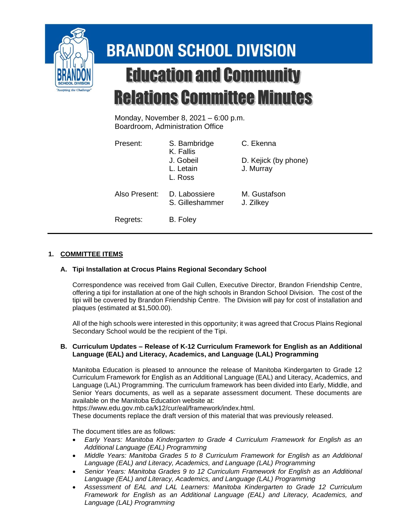

# **BRANDON SCHOOL DIVISION Education and Community Relations Committee Minutes**

Monday, November 8, 2021 – 6:00 p.m. Boardroom, Administration Office

| Present:      | S. Bambridge<br>K. Fallis         | C. Ekenna                         |
|---------------|-----------------------------------|-----------------------------------|
|               | J. Gobeil<br>L. Letain<br>L. Ross | D. Kejick (by phone)<br>J. Murray |
| Also Present: | D. Labossiere<br>S. Gilleshammer  | M. Gustafson<br>J. Zilkey         |
| Regrets:      | B. Foley                          |                                   |

## **1. COMMITTEE ITEMS**

### **A. Tipi Installation at Crocus Plains Regional Secondary School**

Correspondence was received from Gail Cullen, Executive Director, Brandon Friendship Centre, offering a tipi for installation at one of the high schools in Brandon School Division. The cost of the tipi will be covered by Brandon Friendship Centre. The Division will pay for cost of installation and plaques (estimated at \$1,500.00).

All of the high schools were interested in this opportunity; it was agreed that Crocus Plains Regional Secondary School would be the recipient of the Tipi.

#### **B. Curriculum Updates – Release of K-12 Curriculum Framework for English as an Additional Language (EAL) and Literacy, Academics, and Language (LAL) Programming**

Manitoba Education is pleased to announce the release of Manitoba Kindergarten to Grade 12 Curriculum Framework for English as an Additional Language (EAL) and Literacy, Academics, and Language (LAL) Programming. The curriculum framework has been divided into Early, Middle, and Senior Years documents, as well as a separate assessment document. These documents are available on the Manitoba Education website at:

https://www.edu.gov.mb.ca/k12/cur/eal/framework/index.html.

These documents replace the draft version of this material that was previously released.

The document titles are as follows:

- *Early Years: Manitoba Kindergarten to Grade 4 Curriculum Framework for English as an Additional Language (EAL) Programming*
- Middle Years: Manitoba Grades 5 to 8 Curriculum Framework for English as an Additional *Language (EAL) and Literacy, Academics, and Language (LAL) Programming*
- Senior Years: Manitoba Grades 9 to 12 Curriculum Framework for English as an Additional *Language (EAL) and Literacy, Academics, and Language (LAL) Programming*
- *Assessment of EAL and LAL Learners: Manitoba Kindergarten to Grade 12 Curriculum Framework for English as an Additional Language (EAL) and Literacy, Academics, and Language (LAL) Programming*